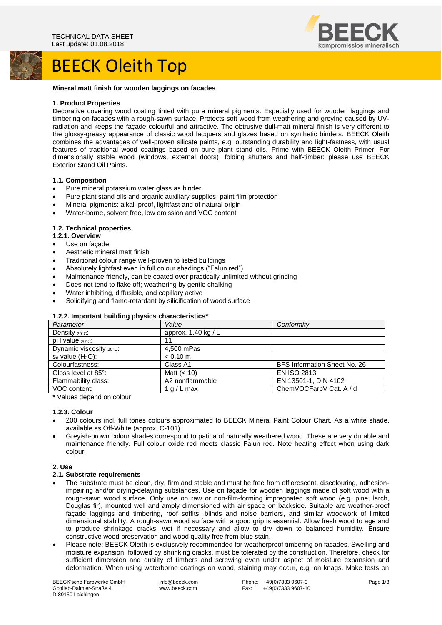# BEECK Oleith Top



#### **Mineral matt finish for wooden laggings on facades**

#### **1. Product Properties**

Decorative covering wood coating tinted with pure mineral pigments. Especially used for wooden laggings and timbering on facades with a rough-sawn surface. Protects soft wood from weathering and greying caused by UVradiation and keeps the façade colourful and attractive. The obtrusive dull-matt mineral finish is very different to the glossy-greasy appearance of classic wood lacquers and glazes based on synthetic binders. BEECK Oleith combines the advantages of well-proven silicate paints, e.g. outstanding durability and light-fastness, with usual features of traditional wood coatings based on pure plant stand oils. Prime with BEECK Oleith Primer. For dimensionally stable wood (windows, external doors), folding shutters and half-timber: please use BEECK Exterior Stand Oil Paints.

#### **1.1. Composition**

- Pure mineral potassium water glass as binder
- Pure plant stand oils and organic auxiliary supplies; paint film protection
- Mineral pigments: alkali-proof, lightfast and of natural origin
- Water-borne, solvent free, low emission and VOC content

# **1.2. Technical properties**

- **1.2.1. Overview**
- Use on facade
- Aesthetic mineral matt finish
- Traditional colour range well-proven to listed buildings
- Absolutely lightfast even in full colour shadings ("Falun red")
- Maintenance friendly, can be coated over practically unlimited without grinding
- Does not tend to flake off; weathering by gentle chalking
- Water inhibiting, diffusible, and capillary active
- Solidifying and flame-retardant by silicification of wood surface

| <b>1.2.2. Important building privates characteristics</b> |                     |                              |
|-----------------------------------------------------------|---------------------|------------------------------|
| Parameter                                                 | Value               | Conformity                   |
| Density 20°C:                                             | approx. 1.40 kg / L |                              |
| $pH$ value $20^{\circ}$ c:                                | 11                  |                              |
| Dynamic viscosity 20°C:                                   | 4.500 mPas          |                              |
| $s_d$ value ( $H_2O$ ):                                   | $< 0.10$ m          |                              |
| Colourfastness:                                           | Class A1            | BFS Information Sheet No. 26 |
| Gloss level at 85°:                                       | Matt $(< 10$ )      | <b>EN ISO 2813</b>           |
| Flammability class:                                       | A2 nonflammable     | EN 13501-1, DIN 4102         |
| VOC content:                                              | 1 $a/L$ max         | ChemVOCFarbV Cat. A / d      |

# **1.2.2. Important building physics characteristics\***

\* Values depend on colour

#### **1.2.3. Colour**

- 200 colours incl. full tones colours approximated to BEECK Mineral Paint Colour Chart. As a white shade, available as Off-White (approx. C-101).
- Greyish-brown colour shades correspond to patina of naturally weathered wood. These are very durable and maintenance friendly. Full colour oxide red meets classic Falun red. Note heating effect when using dark colour.

# **2. Use**

# **2.1. Substrate requirements**

- The substrate must be clean, dry, firm and stable and must be free from efflorescent, discolouring, adhesionimpairing and/or drying-delaying substances. Use on façade for wooden laggings made of soft wood with a rough-sawn wood surface. Only use on raw or non-film-forming impregnated soft wood (e.g. pine, larch, Douglas fir), mounted well and amply dimensioned with air space on backside. Suitable are weather-proof façade laggings and timbering, roof soffits, blinds and noise barriers, and similar woodwork of limited dimensional stability. A rough-sawn wood surface with a good grip is essential. Allow fresh wood to age and to produce shrinkage cracks, wet if necessary and allow to dry down to balanced humidity. Ensure constructive wood preservation and wood quality free from blue stain.
- Please note: BEECK Oleith is exclusively recommended for weatherproof timbering on facades. Swelling and moisture expansion, followed by shrinking cracks, must be tolerated by the construction. Therefore, check for sufficient dimension and quality of timbers and screwing even under aspect of moisture expansion and deformation. When using waterborne coatings on wood, staining may occur, e.g. on knags. Make tests on

BEECK'sche Farbwerke GmbH Gottlieb-Daimler-Straße 4 D-89150 Laichingen

info@beeck.com www.beeck.com

Phone: +49(0)7333 9607-0 Fax: +49(0)7333 9607-10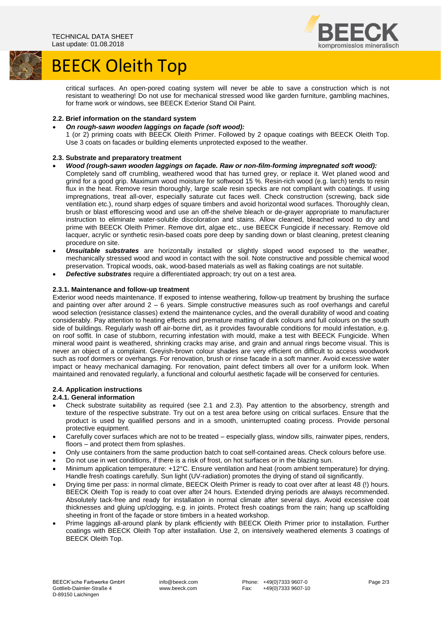

# BEECK Oleith Top

critical surfaces. An open-pored coating system will never be able to save a construction which is not resistant to weathering! Do not use for mechanical stressed wood like garden furniture, gambling machines, for frame work or windows, see BEECK Exterior Stand Oil Paint.

# **2.2. Brief information on the standard system**

- *On rough-sawn wooden laggings on façade (soft wood):*
- 1 (or 2) priming coats with BEECK Oleith Primer. Followed by 2 opaque coatings with BEECK Oleith Top. Use 3 coats on facades or building elements unprotected exposed to the weather.

# **2.3. Substrate and preparatory treatment**

- *Wood (rough-sawn wooden laggings on façade. Raw or non-film-forming impregnated soft wood):*
- Completely sand off crumbling, weathered wood that has turned grey, or replace it. Wet planed wood and grind for a good grip. Maximum wood moisture for softwood 15 %. Resin-rich wood (e.g. larch) tends to resin flux in the heat. Remove resin thoroughly, large scale resin specks are not compliant with coatings. If using impregnations, treat all-over, especially saturate cut faces well. Check construction (screwing, back side ventilation etc.), round sharp edges of square timbers and avoid horizontal wood surfaces. Thoroughly clean, brush or blast efflorescing wood and use an off-the shelve bleach or de-grayer appropriate to manufacturer instruction to eliminate water-soluble discoloration and stains. Allow cleaned, bleached wood to dry and prime with BEECK Oleith Primer. Remove dirt, algae etc., use BEECK Fungicide if necessary. Remove old lacquer, acrylic or synthetic resin-based coats pore deep by sanding down or blast cleaning, pretest cleaning procedure on site.
- *Unsuitable substrates* are horizontally installed or slightly sloped wood exposed to the weather, mechanically stressed wood and wood in contact with the soil. Note constructive and possible chemical wood preservation. Tropical woods, oak, wood-based materials as well as flaking coatings are not suitable.
- *Defective substrates* require a differentiated approach; try out on a test area.

# **2.3.1. Maintenance and follow-up treatment**

Exterior wood needs maintenance. If exposed to intense weathering, follow-up treatment by brushing the surface and painting over after around 2 – 6 years. Simple constructive measures such as roof overhangs and careful wood selection (resistance classes) extend the maintenance cycles, and the overall durability of wood and coating considerably. Pay attention to heating effects and premature matting of dark colours and full colours on the south side of buildings. Regularly wash off air-borne dirt, as it provides favourable conditions for mould infestation, e.g. on roof soffit. In case of stubborn, recurring infestation with mould, make a test with BEECK Fungicide. When mineral wood paint is weathered, shrinking cracks may arise, and grain and annual rings become visual. This is never an object of a complaint. Greyish-brown colour shades are very efficient on difficult to access woodwork such as roof dormers or overhangs. For renovation, brush or rinse facade in a soft manner. Avoid excessive water impact or heavy mechanical damaging. For renovation, paint defect timbers all over for a uniform look. When maintained and renovated regularly, a functional and colourful aesthetic façade will be conserved for centuries.

# **2.4. Application instructions**

# **2.4.1. General information**

- Check substrate suitability as required (see 2.1 and 2.3). Pay attention to the absorbency, strength and texture of the respective substrate. Try out on a test area before using on critical surfaces. Ensure that the product is used by qualified persons and in a smooth, uninterrupted coating process. Provide personal protective equipment.
- Carefully cover surfaces which are not to be treated especially glass, window sills, rainwater pipes, renders, floors – and protect them from splashes.
- Only use containers from the same production batch to coat self-contained areas. Check colours before use.
- Do not use in wet conditions, if there is a risk of frost, on hot surfaces or in the blazing sun.
- Minimum application temperature: +12°C. Ensure ventilation and heat (room ambient temperature) for drying. Handle fresh coatings carefully. Sun light (UV-radiation) promotes the drying of stand oil significantly.
- Drying time per pass: in normal climate, BEECK Oleith Primer is ready to coat over after at least 48 (!) hours. BEECK Oleith Top is ready to coat over after 24 hours. Extended drying periods are always recommended. Absolutely tack-free and ready for installation in normal climate after several days. Avoid excessive coat thicknesses and gluing up/clogging, e.g. in joints. Protect fresh coatings from the rain; hang up scaffolding sheeting in front of the façade or store timbers in a heated workshop.
- Prime laggings all-around plank by plank efficiently with BEECK Oleith Primer prior to installation. Further coatings with BEECK Oleith Top after installation. Use 2, on intensively weathered elements 3 coatings of BEECK Oleith Top.